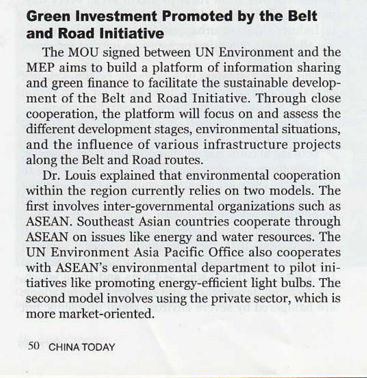## **Green Investment Promoted by the Belt** and Road Initiative

The MOU signed between UN Environment and the MEP aims to build a platform of information sharing and green finance to facilitate the sustainable development of the Belt and Road Initiative. Through close cooperation, the platform will focus on and assess the different development stages, environmental situations, and the influence of various infrastructure projects along the Belt and Road routes.

Dr. Louis explained that environmental cooperation within the region currently relies on two models. The first involves inter-governmental organizations such as ASEAN. Southeast Asian countries cooperate through ASEAN on issues like energy and water resources. The UN Environment Asia Pacific Office also cooperates with ASEAN's environmental department to pilot initiatives like promoting energy-efficient light bulbs. The second model involves using the private sector, which is more market-oriented.

50 CHINA TODAY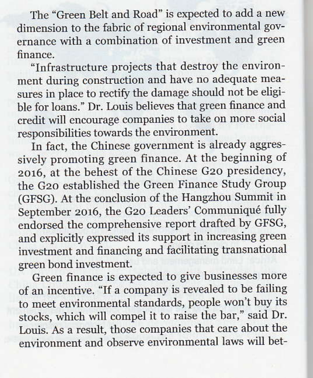The "Green Belt and Road" is expected to add a new dimension to the fabric of regional environmental governance with a combination of investment and green finance

"Infrastructure projects that destroy the environment during construction and have no adequate measures in place to rectify the damage should not be eligible for loans." Dr. Louis believes that green finance and credit will encourage companies to take on more social responsibilities towards the environment.

In fact, the Chinese government is already aggressively promoting green finance. At the beginning of 2016, at the behest of the Chinese G20 presidency, the G20 established the Green Finance Study Group (GFSG). At the conclusion of the Hangzhou Summit in September 2016, the G20 Leaders' Communiqué fully endorsed the comprehensive report drafted by GFSG, and explicitly expressed its support in increasing green investment and financing and facilitating transnational green bond investment.

Green finance is expected to give businesses more of an incentive. "If a company is revealed to be failing to meet environmental standards, people won't buy its stocks, which will compel it to raise the bar," said Dr. Louis. As a result, those companies that care about the environment and observe environmental laws will bet-